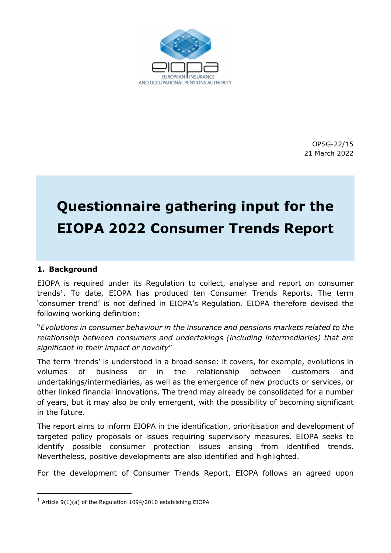

OPSG-22/15 21 March 2022

# Questionnaire gathering input for the EIOPA 2022 Consumer Trends Report

#### 1. Background

-

EIOPA is required under its Regulation to collect, analyse and report on consumer trends<sup>1</sup>. To date, EIOPA has produced ten Consumer Trends Reports. The term 'consumer trend' is not defined in EIOPA's Regulation. EIOPA therefore devised the following working definition:

"Evolutions in consumer behaviour in the insurance and pensions markets related to the relationship between consumers and undertakings (including intermediaries) that are significant in their impact or novelty"

The term 'trends' is understood in a broad sense: it covers, for example, evolutions in volumes of business or in the relationship between customers and undertakings/intermediaries, as well as the emergence of new products or services, or other linked financial innovations. The trend may already be consolidated for a number of years, but it may also be only emergent, with the possibility of becoming significant in the future.

The report aims to inform EIOPA in the identification, prioritisation and development of targeted policy proposals or issues requiring supervisory measures. EIOPA seeks to identify possible consumer protection issues arising from identified trends. Nevertheless, positive developments are also identified and highlighted.

For the development of Consumer Trends Report, EIOPA follows an agreed upon

 $1$  Article 9(1)(a) of the Regulation 1094/2010 establishing EIOPA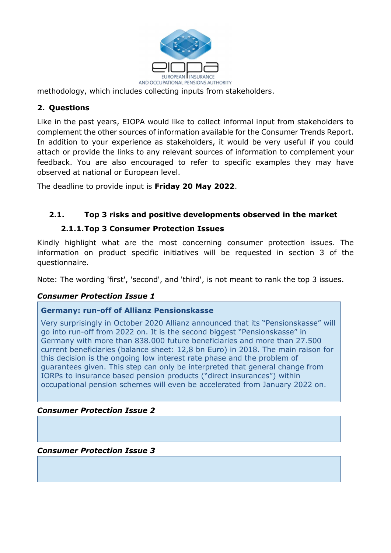

methodology, which includes collecting inputs from stakeholders.

# 2. Questions

Like in the past years, EIOPA would like to collect informal input from stakeholders to complement the other sources of information available for the Consumer Trends Report. In addition to your experience as stakeholders, it would be very useful if you could attach or provide the links to any relevant sources of information to complement your feedback. You are also encouraged to refer to specific examples they may have observed at national or European level.

The deadline to provide input is **Friday 20 May 2022**.

## 2.1. Top 3 risks and positive developments observed in the market

#### 2.1.1.Top 3 Consumer Protection Issues

Kindly highlight what are the most concerning consumer protection issues. The information on product specific initiatives will be requested in section 3 of the questionnaire.

Note: The wording 'first', 'second', and 'third', is not meant to rank the top 3 issues.

## Consumer Protection Issue 1

#### Germany: run-off of Allianz Pensionskasse

Very surprisingly in October 2020 Allianz announced that its "Pensionskasse" will go into run-off from 2022 on. It is the second biggest "Pensionskasse" in Germany with more than 838.000 future beneficiaries and more than 27.500 current beneficiaries (balance sheet: 12,8 bn Euro) in 2018. The main raison for this decision is the ongoing low interest rate phase and the problem of guarantees given. This step can only be interpreted that general change from IORPs to insurance based pension products ("direct insurances") within occupational pension schemes will even be accelerated from January 2022 on.

#### Consumer Protection Issue 2

Consumer Protection Issue 3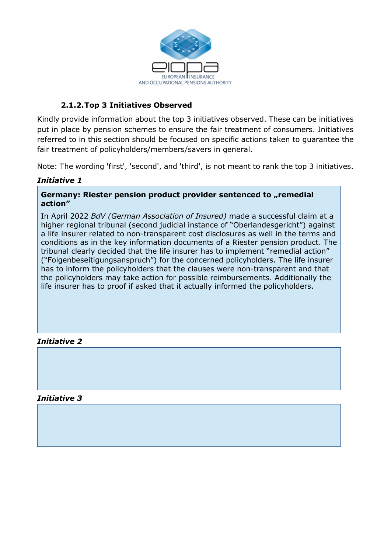

## 2.1.2.Top 3 Initiatives Observed

Kindly provide information about the top 3 initiatives observed. These can be initiatives put in place by pension schemes to ensure the fair treatment of consumers. Initiatives referred to in this section should be focused on specific actions taken to guarantee the fair treatment of policyholders/members/savers in general.

Note: The wording 'first', 'second', and 'third', is not meant to rank the top 3 initiatives.

## Initiative 1

#### Germany: Riester pension product provider sentenced to "remedial action"

In April 2022 BdV (German Association of Insured) made a successful claim at a higher regional tribunal (second judicial instance of "Oberlandesgericht") against a life insurer related to non-transparent cost disclosures as well in the terms and conditions as in the key information documents of a Riester pension product. The tribunal clearly decided that the life insurer has to implement "remedial action" ("Folgenbeseitigungsanspruch") for the concerned policyholders. The life insurer has to inform the policyholders that the clauses were non-transparent and that the policyholders may take action for possible reimbursements. Additionally the life insurer has to proof if asked that it actually informed the policyholders.

## Initiative 2

#### Initiative 3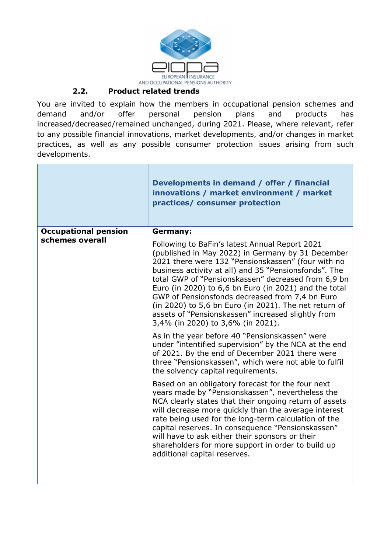

## 2.2. Product related trends

You are invited to explain how the members in occupational pension schemes and demand and/or offer personal pension plans and products has increased/decreased/remained unchanged, during 2021. Please, where relevant, refer to any possible financial innovations, market developments, and/or changes in market practices, as well as any possible consumer protection issues arising from such developments.

|                             | Developments in demand / offer / financial<br>innovations / market environment / market<br>practices/ consumer protection                                                                                                                                                                                                                                                                                                                                                                                                                 |
|-----------------------------|-------------------------------------------------------------------------------------------------------------------------------------------------------------------------------------------------------------------------------------------------------------------------------------------------------------------------------------------------------------------------------------------------------------------------------------------------------------------------------------------------------------------------------------------|
| <b>Occupational pension</b> | <b>Germany:</b>                                                                                                                                                                                                                                                                                                                                                                                                                                                                                                                           |
| schemes overall             | Following to BaFin's latest Annual Report 2021<br>(published in May 2022) in Germany by 31 December<br>2021 there were 132 "Pensionskassen" (four with no<br>business activity at all) and 35 "Pensionsfonds". The<br>total GWP of "Pensionskassen" decreased from 6,9 bn<br>Euro (in 2020) to 6,6 bn Euro (in 2021) and the total<br>GWP of Pensionsfonds decreased from 7,4 bn Euro<br>(in 2020) to 5,6 bn Euro (in 2021). The net return of<br>assets of "Pensionskassen" increased slightly from<br>3,4% (in 2020) to 3,6% (in 2021). |
|                             | As in the year before 40 "Pensionskassen" were<br>under "intentified supervision" by the NCA at the end<br>of 2021. By the end of December 2021 there were<br>three "Pensionskassen", which were not able to fulfil<br>the solvency capital requirements.                                                                                                                                                                                                                                                                                 |
|                             | Based on an obligatory forecast for the four next<br>years made by "Pensionskassen", nevertheless the<br>NCA clearly states that their ongoing return of assets<br>will decrease more quickly than the average interest<br>rate being used for the long-term calculation of the<br>capital reserves. In consequence "Pensionskassen"<br>will have to ask either their sponsors or their<br>shareholders for more support in order to build up<br>additional capital reserves.                                                             |
|                             |                                                                                                                                                                                                                                                                                                                                                                                                                                                                                                                                           |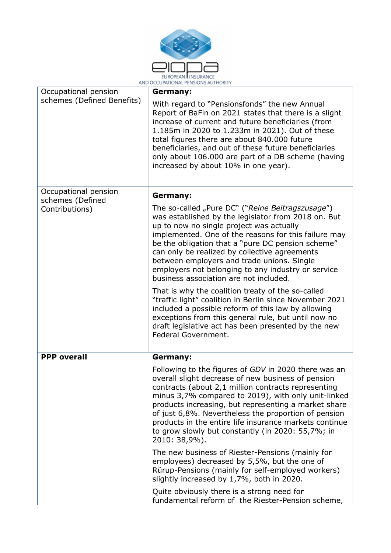

| AND OCCUPATIONAL PENSIONS AUTHORITY |                                                                                                                                                                                                                                                                                                                                                                                                                                                                                                                                                                                                                                                                                                                                                                            |
|-------------------------------------|----------------------------------------------------------------------------------------------------------------------------------------------------------------------------------------------------------------------------------------------------------------------------------------------------------------------------------------------------------------------------------------------------------------------------------------------------------------------------------------------------------------------------------------------------------------------------------------------------------------------------------------------------------------------------------------------------------------------------------------------------------------------------|
| Occupational pension                | Germany:                                                                                                                                                                                                                                                                                                                                                                                                                                                                                                                                                                                                                                                                                                                                                                   |
| schemes (Defined Benefits)          | With regard to "Pensionsfonds" the new Annual<br>Report of BaFin on 2021 states that there is a slight<br>increase of current and future beneficiaries (from<br>1.185m in 2020 to 1.233m in 2021). Out of these<br>total figures there are about 840.000 future<br>beneficiaries, and out of these future beneficiaries<br>only about 106.000 are part of a DB scheme (having<br>increased by about 10% in one year).                                                                                                                                                                                                                                                                                                                                                      |
| Occupational pension                | Germany:                                                                                                                                                                                                                                                                                                                                                                                                                                                                                                                                                                                                                                                                                                                                                                   |
| schemes (Defined<br>Contributions)  | The so-called "Pure DC" ("Reine Beitragszusage")<br>was established by the legislator from 2018 on. But<br>up to now no single project was actually<br>implemented. One of the reasons for this failure may<br>be the obligation that a "pure DC pension scheme"<br>can only be realized by collective agreements<br>between employers and trade unions. Single<br>employers not belonging to any industry or service<br>business association are not included.<br>That is why the coalition treaty of the so-called<br>"traffic light" coalition in Berlin since November 2021<br>included a possible reform of this law by allowing<br>exceptions from this general rule, but until now no<br>draft legislative act has been presented by the new<br>Federal Government. |
| <b>PPP overall</b>                  | Germany:                                                                                                                                                                                                                                                                                                                                                                                                                                                                                                                                                                                                                                                                                                                                                                   |
|                                     | Following to the figures of GDV in 2020 there was an<br>overall slight decrease of new business of pension<br>contracts (about 2,1 million contracts representing<br>minus 3,7% compared to 2019), with only unit-linked<br>products increasing, but representing a market share<br>of just 6,8%. Nevertheless the proportion of pension<br>products in the entire life insurance markets continue<br>to grow slowly but constantly (in 2020: 55,7%; in<br>2010: 38,9%).                                                                                                                                                                                                                                                                                                   |
|                                     | The new business of Riester-Pensions (mainly for<br>employees) decreased by 5,5%, but the one of<br>Rürup-Pensions (mainly for self-employed workers)<br>slightly increased by 1,7%, both in 2020.                                                                                                                                                                                                                                                                                                                                                                                                                                                                                                                                                                         |
|                                     | Quite obviously there is a strong need for<br>fundamental reform of the Riester-Pension scheme,                                                                                                                                                                                                                                                                                                                                                                                                                                                                                                                                                                                                                                                                            |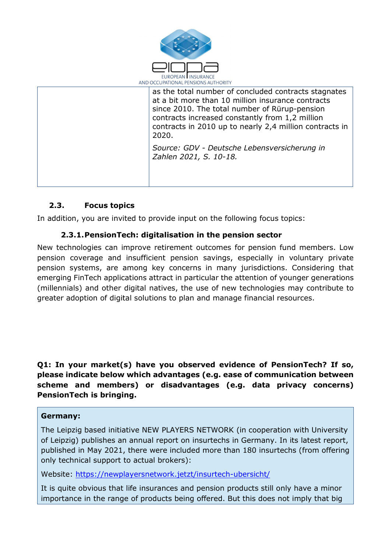

| AND OCCUPATIONAL PENSIONS AUTHORITY |                                                                                                                                                                                                                                                                                   |
|-------------------------------------|-----------------------------------------------------------------------------------------------------------------------------------------------------------------------------------------------------------------------------------------------------------------------------------|
|                                     | as the total number of concluded contracts stagnates<br>at a bit more than 10 million insurance contracts<br>since 2010. The total number of Rürup-pension<br>contracts increased constantly from 1,2 million<br>contracts in 2010 up to nearly 2,4 million contracts in<br>2020. |
|                                     | Source: GDV - Deutsche Lebensversicherung in<br>Zahlen 2021, S. 10-18.                                                                                                                                                                                                            |

# 2.3. Focus topics

In addition, you are invited to provide input on the following focus topics:

## 2.3.1.PensionTech: digitalisation in the pension sector

New technologies can improve retirement outcomes for pension fund members. Low pension coverage and insufficient pension savings, especially in voluntary private pension systems, are among key concerns in many jurisdictions. Considering that emerging FinTech applications attract in particular the attention of younger generations (millennials) and other digital natives, the use of new technologies may contribute to greater adoption of digital solutions to plan and manage financial resources.

Q1: In your market(s) have you observed evidence of PensionTech? If so, please indicate below which advantages (e.g. ease of communication between scheme and members) or disadvantages (e.g. data privacy concerns) PensionTech is bringing.

## Germany:

The Leipzig based initiative NEW PLAYERS NETWORK (in cooperation with University of Leipzig) publishes an annual report on insurtechs in Germany. In its latest report, published in May 2021, there were included more than 180 insurtechs (from offering only technical support to actual brokers):

Website: https://newplayersnetwork.jetzt/insurtech-ubersicht/

It is quite obvious that life insurances and pension products still only have a minor importance in the range of products being offered. But this does not imply that big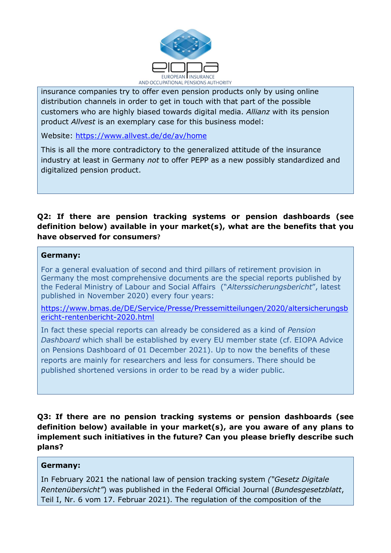

insurance companies try to offer even pension products only by using online distribution channels in order to get in touch with that part of the possible customers who are highly biased towards digital media. Allianz with its pension product Allvest is an exemplary case for this business model:

Website: https://www.allvest.de/de/av/home

This is all the more contradictory to the generalized attitude of the insurance industry at least in Germany not to offer PEPP as a new possibly standardized and digitalized pension product.

## Q2: If there are pension tracking systems or pension dashboards (see definition below) available in your market(s), what are the benefits that you have observed for consumers?

#### Germany:

l.

For a general evaluation of second and third pillars of retirement provision in Germany the most comprehensive documents are the special reports published by the Federal Ministry of Labour and Social Affairs ("Alterssicherungsbericht", latest published in November 2020) every four years:

https://www.bmas.de/DE/Service/Presse/Pressemitteilungen/2020/altersicherungsb ericht-rentenbericht-2020.html

In fact these special reports can already be considered as a kind of Pension Dashboard which shall be established by every EU member state (cf. EIOPA Advice on Pensions Dashboard of 01 December 2021). Up to now the benefits of these reports are mainly for researchers and less for consumers. There should be published shortened versions in order to be read by a wider public.

Q3: If there are no pension tracking systems or pension dashboards (see definition below) available in your market(s), are you aware of any plans to implement such initiatives in the future? Can you please briefly describe such plans?

#### Germany:

In February 2021 the national law of pension tracking system ("Gesetz Digitale Rentenübersicht") was published in the Federal Official Journal (Bundesgesetzblatt, Teil I, Nr. 6 vom 17. Februar 2021). The regulation of the composition of the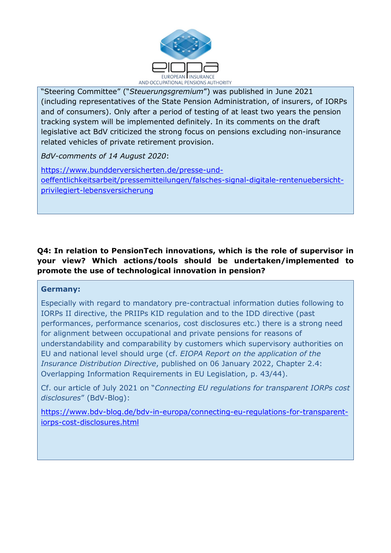

"Steering Committee" ("Steuerungsgremium") was published in June 2021 (including representatives of the State Pension Administration, of insurers, of IORPs and of consumers). Only after a period of testing of at least two years the pension tracking system will be implemented definitely. In its comments on the draft legislative act BdV criticized the strong focus on pensions excluding non-insurance related vehicles of private retirement provision.

BdV-comments of 14 August 2020:

https://www.bundderversicherten.de/presse-undoeffentlichkeitsarbeit/pressemitteilungen/falsches-signal-digitale-rentenuebersichtprivilegiert-lebensversicherung

# Q4: In relation to PensionTech innovations, which is the role of supervisor in your view? Which actions/tools should be undertaken/implemented to promote the use of technological innovation in pension?

## Germany:

l.

Especially with regard to mandatory pre-contractual information duties following to IORPs II directive, the PRIIPs KID regulation and to the IDD directive (past performances, performance scenarios, cost disclosures etc.) there is a strong need for alignment between occupational and private pensions for reasons of understandability and comparability by customers which supervisory authorities on EU and national level should urge (cf. EIOPA Report on the application of the Insurance Distribution Directive, published on 06 January 2022, Chapter 2.4: Overlapping Information Requirements in EU Legislation, p. 43/44).

Cf. our article of July 2021 on "Connecting EU regulations for transparent IORPs cost disclosures" (BdV-Blog):

https://www.bdv-blog.de/bdv-in-europa/connecting-eu-regulations-for-transparentiorps-cost-disclosures.html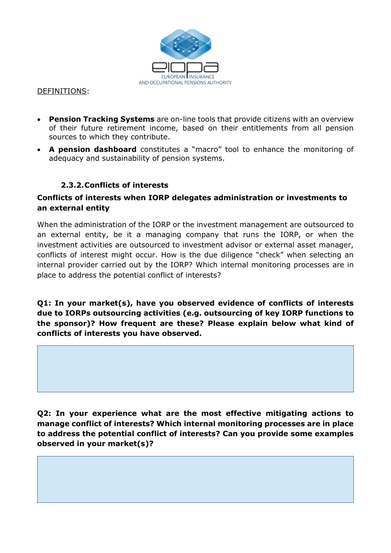

#### DEFINITIONS:

- Pension Tracking Systems are on-line tools that provide citizens with an overview of their future retirement income, based on their entitlements from all pension sources to which they contribute.
- A pension dashboard constitutes a "macro" tool to enhance the monitoring of adequacy and sustainability of pension systems.

## 2.3.2.Conflicts of interests

## Conflicts of interests when IORP delegates administration or investments to an external entity

When the administration of the IORP or the investment management are outsourced to an external entity, be it a managing company that runs the IORP, or when the investment activities are outsourced to investment advisor or external asset manager, conflicts of interest might occur. How is the due diligence "check" when selecting an internal provider carried out by the IORP? Which internal monitoring processes are in place to address the potential conflict of interests?

Q1: In your market(s), have you observed evidence of conflicts of interests due to IORPs outsourcing activities (e.g. outsourcing of key IORP functions to the sponsor)? How frequent are these? Please explain below what kind of conflicts of interests you have observed.

Q2: In your experience what are the most effective mitigating actions to manage conflict of interests? Which internal monitoring processes are in place to address the potential conflict of interests? Can you provide some examples observed in your market(s)?